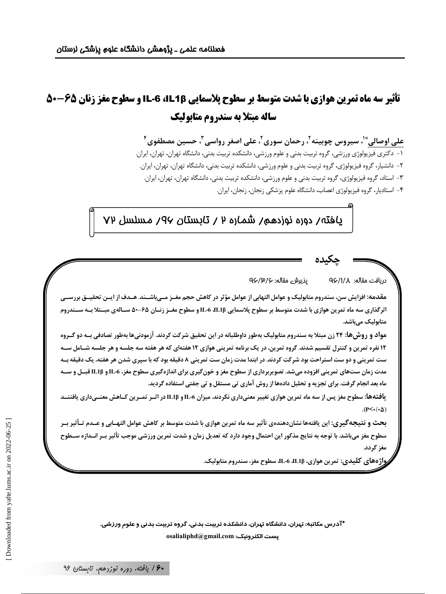# تأثیر سه ماه تمرین هوازی با شدت متوسط بر سطوح پلاسمایی IL-6 ،IL1β و سطوح مغز زنان ۶۵-۵۰ ساله مبتلا به سندروم متابولیک

علي اوصالي ٌّ'، سيروس چوبينه ّ، رحمان سوري ّ، علي اصغر رواسي ّ، حسين مصطفوي ٔ ۖ ۱ – دکتری فیزیولوژی ورزشی، گروه تربیت بدنی و علوم ورزشی، دانشکده تربیت بدنی، دانشگاه تهران، تهران، ایران. ۲– دانشیار، گروه فیزیولوژی، گروه تربیت بدنی و علوم ورزشی، دانشکده تربیت بدنی، دانشگاه تهران، تهران، ایران. ۳- استاد، گروه فیزیولوژی، گروه تربیت بدنی و علوم ورزشی، دانشکده تربیت بدنی، دانشگاه تهران، تهران، ایران. ۴- استادیار، گروه فیزیولوژی اعصاب، دانشگاه علوم پزشکی زنجان، زنجان، ایران.

## <u>ي</u>افته/ دوره نوزدهم/ شماره ٢ / تابستان ٩٧/ مسلسل ٧٧

دريافت مقاله: 4/1/√9 پذیرش مقاله: ۹۶/۳/۶

مقدمه: افزایش سن، سندروم متابولیک و عوامل التهابی از عوامل مؤثر در کاهش حجم مغــز مــیباشــند. هــدف از ایــن تحقیــق بررســی اثرگذاری سه ماه تمرین هوازی با شدت متوسط بر سطوح پلاسمایی IL-6 ،IL1β و سطوح مغــز زنــان ۵۵–۵۰ ســالهی مبــتلا بــه ســـندروم متابولیک میباشد.

مواد و روش ها: ۲۴ زن مبتلا به سندروم متابولیک بهطور داوطلبانه در این تحقیق شرکت کردند. آزمودنیها بهطور تصادفی بــه دو گــروه ۱۲ نفره تمرین و کنترل تقسیم شدند. گروه تمرین، در یک برنامه تمرینی هوازی ۱۲ هفتهای که هر هفته سه جلسه و هر جلسه شـامل سـه ست تمرینی و دو ست استراحت بود شرکت کردند. در ابتدا مدت زمان ست تمرینی ۸ دقیقه بود که با سپری شدن هر هفته، یک دقیقه بـه مدت زمان ستهای تمرینی افزوده میشد. تصویربرداری از سطوح مغز و خونگیری برای اندازهگیری سطوح مغز، 6-IL و IL1β قبـل و سـه ماه بعد انجام گرفت. برای تجزیه و تحلیل دادهها از روش آماری تی مستقل و تی جفتی استفاده گردید.

یافتهها: سطوح مغز پس از سه ماه تمرین هوازی تغییر معنیداری نکردند. میزان IL-6 و IL1β در اثـر تمـرین کـاهش معنـیداری یافتنــد .( $P<\cdot/\cdot \Delta$ )

بحث و نتیجهگیری: این یافتهها نشاندهندهی تأثیر سه ماه تمرین هوازی با شدت متوسط بر کاهش عوامل التهــابی و عــدم تـأثیر بــر سطوح مغز میباشد. با توجه به نتایج مذکور این احتمال وجود دارد که تعدیل زمان و شدت تمرین ورزشی موجب تأثیر بـر انــدازه ســطوح مغز گردد.

واژههای کلیدی: تمرین هوازی، IL1β، IL1β، سطوح مغز، سندروم متابولیک.

\*آدرس مکاتبه: تهران، دانشگاه تهران، دانشکده تربیت بدنی، گروه تربیت بدنی و علوم ورزشی. osalialiphd@gmail.com :يست الكترونيك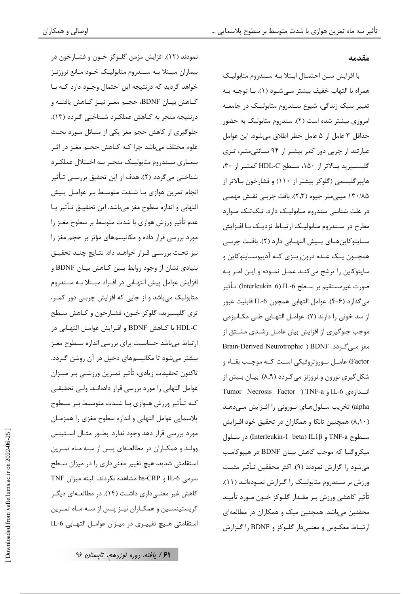نمودند (١٢). افزايش مزمن گلــوکز خــون و فشــارخون در بیماران مبـتلا بـه سـندروم متابولیـک خـود مـانع نروژنـز خواهد گردید که درنتیجه این احتمال وجــود دارد کــه بــا كـاهش بيـان BDNF، حجـم مغـز نيـز كـاهش يافتـه و درنتیجه منجر به کـاهش عملکـرد شـناختی گـردد (۱۳). جلوگیری از کاهش حجم مغز یکی از مسائل مـورد بحـث علوم مختلف میباشد چرا کــه کــاهش حجــم مغــز در اثــر بیمـاری سـندروم متابولیـک منجـر بـه اخـتلال عملکـرد شناختی میگردد (۲). هدف از این تحقیق بررسـی تـأثیر انجام تمرین هوازی بـا شـدت متوسـط بـر عوامـل پـیش التهابي و اندازه سطوح مغز ميباشد. اين تحقيــق تـأثير يــا عدم تأثیر ورزش هوازی با شدت متوسط بر سطوح مغـز را مورد بررسی قرار داده و مکانیسمهای مؤثر بر حجم مغز را نیز تحت بررسے قـرار خواهـد داد. نتـایج چنـد تحقیـق بنیادی نشان از وجود روابط بین کـاهش بیـان BDNF و افزایش عوامل پیش التهـابی در افـراد مبـتلا بـه سـندروم متابولیک میباشد و از جایی که افزایش چربی دور کمـر، تري گليسيريد، گلوكز خـون، فشـارخون و كـاهش سـطح HDL-C با كـاهش BDNF و افـزايش عوامـل التهـابي در ارتباط میباشد حساسیت برای بررسی اندازه سطوح مغـز بیشتر میشود تا مکانیسمهای دخیل در آن روشن گـردد. تاكنون تحقيقات زيادى، تأثير تمـرين ورزشــى بـر ميــزان عوامل التهابي را مورد بررسي قرار دادهانــد. ولــي تحقيقــي کـه تـأثير ورزش هـوازي بـا شـدت متوسـط بـر سـطوح پلاسمایی عوامل التهابی و اندازه سطوح مغزی را همزمـان مورد بررسی قرار دهد وجود ندارد. بطـور مثـال اسـتينس وولـد و همكـاران در مطالعـهاى پـس از سـه مـاه تمـرين استقامتی شدید، هیچ تغییر معنیداری را در میزان سطح سرمی IL-6 و hs-CRP مشاهده نکردند. البته میزان TNF کاهش غیر معنــیداری داشـت (۱۴). در مطالعــهای دیگــر کریستینسـین و همکـاران نیـز پـس از سـه مـاه تمـرین استقامتی هـيچ تغييـري در ميـزان عوامـل التهـابي IL-6

#### مقدمه

با افزایش سـن احتمـال ابـتلا بـه سـندروم متابولیـک همراه با التهاب خفیف بیشتر مے شـود (۱). بــا توجــه بــه تغییر سبک زندگی، شیوع سـندروم متابولیـک در جامعـه امروزی بیشتر شده است (۲). سندروم متابولیک به حضور حداقل ٣ عامل از ۵ عامل خطر اطلاق میشود. این عوامل عبارتند از چربی دور کمر بیشتر از ۹۴ سـانتی متـر، تـری گلیست ید بالاتر از ۱۵۰، ستطح HDL-C کمتنز از ۴۰، هایپر گلیسمی (گلوکز بیشتر از ۱۱۰) و فشارخون بـالاتر از ۱۳۰/۸۵ میلی متر جیوه (۲٫۳). بافت چربـی نقـش مهمـی در علت شناسی سندروم متابولیـک دارد. تـکتـک مـوارد مطرح در سـندروم متابولیـک ارتبـاط نزدیـک بـا افـزایش ســايتوكاينهــاي پــيش التهــابي دارد (٢). بافـت چربــي همچــون يــک غــده درون٫يــزي کــه آديپوســايتوکاين و سایتوکاین را ترشح میکنـد عمـل نمـوده و ایـن امـر بـه صورت غيرمستقيم بر سـطح Interleukin 6) IL-6) تـأثير مي¢ذارد (۶–۴). عوامل التهابي همچون IL-6 قابليت عبور از سد خونی را دارند (۷). عوامـل التهـابی طـی مكـانیزمی موجب جلوگیری از افزایش بیان عامـل رشـدی مشـتق از مغز مے گردد. Brain-Derived Neurotrophic ) BDNF Factor) عامــل نــوروتروفيكي اســت كــه موجـب بقــاء و شکل گیری نورون و نروژنز میگردد (۸٫۹). بیـان بـیش از انسدازەي IL-6 و Tumor Necrosis Factor ) TNF-a alpha) تخریب سـلولهـای نـورونی را افـزایش مـی،دهـد (۸٫۱۰) همچنین تانکا و همکاران در تحقیق خود افـزایش سطوح TNF-a و Interleukin-1 beta) IL1β) در سلول میکروگلیا که موجب کاهش بیـان BDNF در هیپوکامـپ میشود را گزارش نمودند (۹). اکثر محققین تـأثیر مثبـت ورزش بر سندروم متابولیک را گزارش نمبودهانند (١١). تأثير كاهشي ورزش بـر مقـدار گلـوكز خـون مـورد تأييـد محققین میباشد. همچنین میک و همکاران در مطالعهای ارتبـاط معكـوس و معنـىدار گلـوكز و BDNF را گـزارش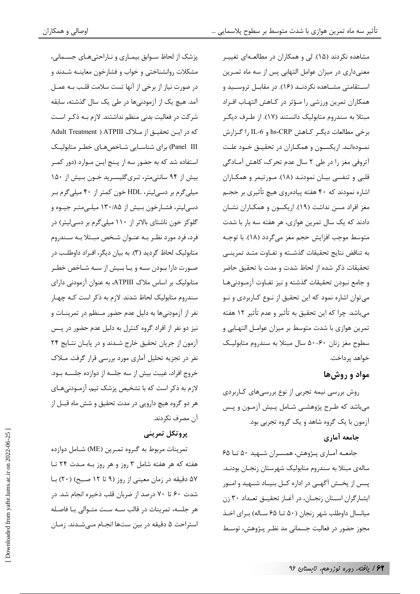پزشک از لحاظ سـوابق بیمـاری و نـاراحتیهـای جسـمانی، مشكلات روانشناختي و خواب و فشارخون معاينــه شـدند و در صورت نیاز از برخی از آنها تست سلامت قلب بـه عمـل آمد. هیچ یک از آزمودنیها در طی یک سال گذشته، سابقه شرکت در فعالیت بدنی منظم نداشتند. لازم بـه ذکـر اسـت كه در ايـن تحقيـق از مـلاک ATPIII ( Adult Treatment ) Panel III) برای شناسـایی شـاخصهـای خطـر متابولیـک استفاده شد که به حضور سه از پـنج ايـن مـوارد (دور کمـر بیش از ۹۴ سانتی متر، تـریگلیسـرید خـون بـیش از ۱۵۰ میلیگرم بر دسیلیتر، HDL خون کمتر از ۴۰ میلیگرم بر دسی لیتر، فشـارخون بـیش از ۱۳۰/۸۵ میلـیمتـر جیـوه و گلوکز خون ناشتای بالاتر از ۱۱۰ میلی گرم بر دسی لیتر) در فرد، فرد مورد نظـر بـه عنـوان شـخص مبـتلا بـه سـندروم متابولیک لحاظ گردید (۳). به بیان دیگر، اف اد داوطلب در صورت دارا بــودن ســه و يــا بــيش از ســه شــاخص خطــر متابولیک بر اساس ملاک ATPIII، به عنوان آزمودنی دارای سندروم متابولیک لحاظ شدند. لازم به ذکر است کـه چهـار نفر از آزمودنیها به دلیل عدم حضور مـنظم در تمرینـات و نیز دو نفر از افراد گروه کنترل به دلیل عدم حضور در پس آزمون از جریان تحقیق خارج شدند و در پایان نتایج ۲۴ نفر در تجزیه تحلیل آماری مورد بررسی قرار گرفت. مـلاک خروج افراد، غیبت بیش از سه جلسه از دوازده جلسـه بـود. لازم به ذکر است که با تشخیص پزشک تیم، آزمـودنی هـای هر دو گروه هیچ دارویی در مدت تحقیق و شش ماه قبـل از آن مصرف نکردند.

## يروتكل تمريني

تمرينات مربوط به گروه تمـرين (ME) شـامل دوازده هفته که هر هفته شامل ۳ روز و هر روز بـه مـدت ۲۴ تـا ۵۷ دقیقه در زمان معینی از روز (۹ تا ۱۲ صبح) (۲۰) با شدت ۶۰ تا ۷۰ درصد از ضربان قلب ذخیره انجام شد. در هر جلسه، تمرينات در قالب سـه سـت متــوالى بــا فاصـله استراحت ۵ دقیقه در بین ستها انجـام مـیشـدند. زمـان مشاهده نکردند (۱۵). لی و همکاران در مطالعـهای تغییـر معنیداری در میزان عوامل التهابی پس از سه ماه تمـرین اسـتقامتى مشـاهده نكردنــد (١۶). در مقابــل تروســيد و همكاران تمرين ورزشي را مـؤثر در كـاهش التهـاب افـراد مبتلا به سندروم متابولیک دانستند (۱۷). از طـرف دیگـر برخي مطالعات ديگر كـاهش hs-CRP و IL-6 را گـزارش نمـودهانـد. اریکسـون و همکـاران در تحقیـق خـود علـت آتروفی مغز را در طی ۲ سال عدم تحرک، کاهش آمادگی قلبی و تنفسی بیـان نمودنـد (١٨). مـورتیمر و همكـاران اشاره نمودند که ۴۰ هفته پیادهروی هیچ تأثیری بر حجـم مغز افراد مسن نداشت (١٩). اریکسون و همکـاران نشـان دادند که یک سال تمرین هوازی، هر هفته سه بار با شدت متوسط موجب افزایش حجم مغز میگردد (۱۸). با توجـه به تناقض نتايج تحقيقات گذشـته و تفـاوت متـد تمرينـي تحقيقات ذكر شده از لحاظ شدت و مدت با تحقيق حاضر و جامع نبودن تحقيقات گذشته و نيز تفـاوت آزمـودنىهـا می توان اشاره نمود که این تحقیق از نـوع کـاربردی و نـو می باشد. چرا که این تحقیق به تأثیر و عدم تأثیر ۱۲ هفته تمرین هوازی با شدت متوسط بر میزان عوامـل التهـابی و سطوح مغز زنان ۶۰-۵۰ سال مبتلا به سندروم متابوليك خواهد پرداخت.

## مواد و روش ها

روش بررسی نیمه تجربی از نوع بررسیهای کـاربردی میباشد که طـرح پژوهشـی شـامل پـیش آزمـون و پـس آزمون با یک گروه شاهد و یک گروه تجربی بود.

## جامعه آماري

جامعــه آمــاري پــژوهش، همســران شــهيد ۵۰ تــا ۶۵ سالەي مېتلا بە سندروم متابولیک شهرستان زنجـان بودنـد. یسس از یخــش آگهــی در اداره کــل بنیــاد شــهید و امــور ایشارگران استان زنجان، در آغـاز تحقیـق تعـداد ۳۰ زن میانسال داوطلب شهر زنجان (۵۰ تــا ۶۵ ســاله) بـرای اخــذ مجوز حضور در فعالیت جسمانی مد نظـر پــژوهش، توسـط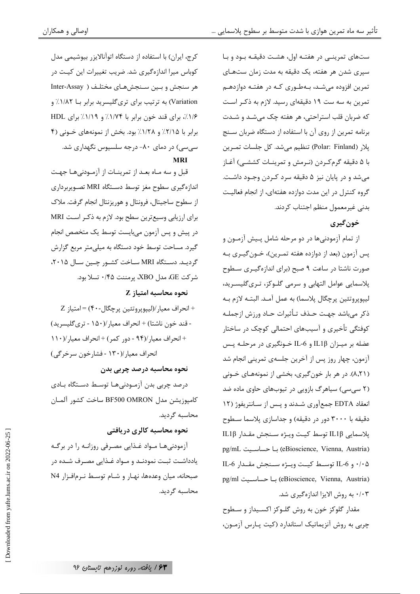ستهای تمرینــی در هفتـه اول، هشـت دقیقـه بـود و بـا سپری شدن هر هفته، یک دقیقه به مدت زمان ستهـای تمرین افزوده میشد، بـهطـوری کـه در هفتـه دوازدهـم تمرین به سه ست ۱۹ دقیقهای رسید. لازم به ذکـر اسـت که ضربان قلب استراحتی، هر هفته چک میشد و شدت برنامه تمرین از روی آن با استفاده از دستگاه ضربان سـنج پلار (Polar: Finland) تنظیم میشد. کل جلسات تمـرین با ۵ دقیقه گرمکردن (نـرمش و تمرینـات کششـی) آغـاز میشد و در پایان نیز ۵ دقیقه سرد کـردن وجـود داشـت. گروه کنترل در این مدت دوازده هفتهای، از انجام فعالیت بدنی غیرمعمول منظم اجتناب کردند.

#### خون گيري

از تمام آزمودنیها در دو مرحله شامل پـیش آزمـون و پس آزمون (بعد از دوازده هفته تمـرين)، خــون گيــرى بــه صورت ناشتا در ساعت ۹ صبح (برای اندازهگیـری سـطوح .<br>پلاسمایی عوامل التهابی و سرمی گلـوکز، تـریگلیسـرید، ليپوپروتئين پرچگال پلاسما) به عمل آمـد. البتـه لازم بـه ذکر می باشد جهت حـذف تـأثیرات حـاد ورزش ازجملـه کوفتگی تأخیری و آسیبهای احتمالی کوچک در ساختار عضله بر میـزان IL1β و IL-6 خـونگیری در مرحلـه پـس آزمون، چهار روز پس از آخرین جلسهی تمرینی انجام شد (۸٫۲۱). در هر بار خون گیری، بخشی از نمونههای خـونی (۲ سی سی) سیاهرگ بازویی در تیوبهای حاوی ماده ضد انعقاد EDTA جمعآوری شـدند و پـس از سـانتريفوژ (١٢ دقیقه با ۳۰۰۰ دور در دقیقه) و جداسازی پلاسما سطوح پلاسمايي IL1β توسط كيت ويـژه سـنجش مقـدار IL1β (eBioscience, Vienna, Austria) با حساسيت pg/mL ۰/۰۵ و IL-6 توسط كيت ويبژه سنجش مقـدار IL-6 (eBioscience, Vienna, Austria) با حساسييت pg/ml ۰/۰۳ به روش الايزا اندازهگيري شد.

مقدار گلوکز خون به روش گلـوکز اکسـيداز و سـطوح چربی به روش آنزیماتیک استاندارد (کیت پارس آزمون،

کرج، ایران) با استفاده از دستگاه اتوآنالایز, بیوشیمی مدا ، کوباس میرا اندازهگیری شد. ضریب تغییرات این کیت در هر سنجش و بین سنجشهای مختلـف ( Inter-Assay Variation) به ترتیب برای تریگلیسرید برابر بـا ۱/۸۲٪ و ۱/۶٪، برای قند خون برابر با ۱/۷۴٪ و ۱/۱/٪ برای HDL برابر با ٢/١٥٪ و ١/٢٨٪ بود. بخش از نمونههای خـونی (۴ سی سی) در دمای ۸۰- درجه سلسیوس نگهداری شد. **MRI** 

قبل و سه مـاه بعـد از تمرينـات از آزمـودنىهـا جهـت اندازهگیری سطوح مغز توسط دسـتگاه MRI تصـویربرداری از سطوح ساجیتال، فرونتال و هوریزنتال انجام گرفت. ملاک برای ارزیابی وسیع ترین سطح بود. لازم به ذکـر اسـت MRI در پیش و پس آزمون میبایست توسط یک متخصص انجام گیرد. مساحت توسط خود دستگاه به میلی متر مربع گزارش گردیـد. دسـتگاه MRI سـاخت کشـور چـین سـال ۲۰۱۵، شركت GE، مدل XBO، پرمننت ۰/۴۵ تسلا بود.

#### $Z$  نحوه محاسبه امتياز

+ انحراف معيار/(ليپوپروتئين پرچگال-۴۰) = امتياز Z - قند خون ناشتا) + انحراف معيار/(١۵٠ - ترى گليسريد) + انحراف معيار/(٩۴ - دور كمر) + انحراف معيار/(١١٠ انحراف معيار /(١٣٠ - فشارخون سرخرگي)

#### نحوه محاسبه درصد چربی بدن

درصد چربی بدن آزمـودنیهـا توسـط دسـتگاه بـادی كامپوزيشن مدل BF500 OMRON ساخت كشور آلمـان محاسىه گردىد.

## نحوه محاسبه كالرى دريافتي

آزمودنیها مـواد غـذایی مصـرفی روزانـه را در برگـه یادداشت ثبت نمودنـد و مـواد غـذایی مصـرف شـده در صبحانه، میان وعدهها، نهـار و شـام توسـط نـرمافـزار N4 محاسبه گردید.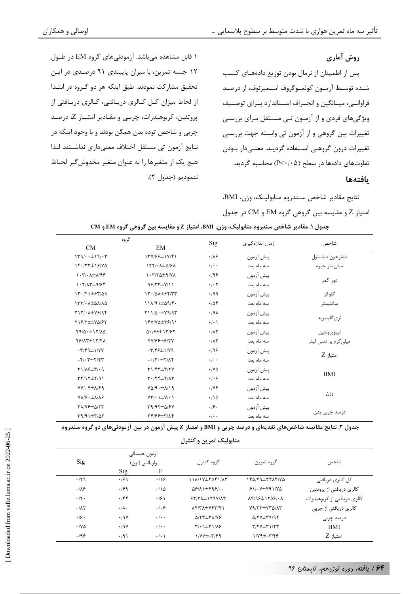۱ قابل مشاهده می باشد. آزمودنی های گروه EM در طـول

١٢ جلسه تمرين، با ميزان پايبندى ٩١ درصدى در ايـن

تحقیق مشارکت نمودند. طبق اینکه هر دو گـروه در ابتـدا

از لحاظ میزان کــل کــالری دریــافتی، کــالری دریــافتی از

پروتئین، کربوهیدرات، چربـی و مقـادیر امتیـاز Z، درصـد

چربی و شاخص توده بدن همگن بودند و با وجود اینکه در

نتايج آزمون تي مستقل اختلاف معنىداري نداشـتند لـذا

هيچ يک از متغيرها را به عنوان متغير مخدوشگر لحـاظ

#### روش آماري

پس از اطمینان از نرمال بودن توزیع دادههـای کسـب شـده توسـط آزمـون كولمـوگروف اسـميرنوف، از درصـد فراوانــی، میــانگین و انحــراف اســتاندارد بــرای توصــیف ویژگیهای فردی و از آزمـون تـی مســتقل بـرای بررسـی تغییرات بین گروهی و از آزمون تی وابسته جهت بررسی تغييرات درون گروهـي اسـتفاده گرديـد. معنــيدار بـودن تفاوتهای دادهها در سطح (P<۰/۰۵) محاسبه گردید.

#### بافتهها

نتايج مقادير شاخص سـندروم متابوليـك، وزن، BMI، امتياز Z و مقايسه بين گروهي گروه EM و CM در جدول

| گروه                                                                         |                                  | Sig                       | زمان اندازهگیری | شاخص                |  |
|------------------------------------------------------------------------------|----------------------------------|---------------------------|-----------------|---------------------|--|
| <b>CM</b>                                                                    | EM                               |                           |                 |                     |  |
| $149/4 \cdot t \pm 19/47$                                                    | 15V/88±1V/41                     | .18                       | پیش آزمون       | فشارخون دياستول     |  |
| $15.777 \pm 1970$                                                            | $157/- \lambda \pm \Delta$ /۶۸   | $\cdot$ / $\cdot$ $\cdot$ | سه ماه بعد      | ميلىمتر جيوه        |  |
| $\cdot$ $\uparrow$ $\cdot$ $\uparrow$ $\pm$ $\uparrow$ $\uparrow$ $\uparrow$ | $1.7744 + 9.774$                 | .199                      | ييش آزمون       |                     |  |
| $1.5/17\pm9/57$                                                              | $95/77\pm V/11$                  | $\cdot$ / $\cdot$ $\cdot$ | سه ماه بعد      | دور کمر             |  |
| $17.791 \pm 97/29$                                                           | 1٣٠/٥٨±۶۴/٣٣                     | .199                      | پيش آزمون       | گلوکز               |  |
| $157/6$ $\pm$ $\Delta$ $\Lambda$ / $\Lambda$ $\Delta$                        | $11\lambda/91\pm\Delta9/5$       | .708                      | سه ماه بعد      | سانتيمتر            |  |
| $Y\\Y/\cdot \lambda \pm V\mathcal{S}/9$                                      | Y11/0.1Y9/97                     | .19 <sub>A</sub>          | پيش آزمون       |                     |  |
| $Y19/70 \pm V0/97$                                                           | $15Y/Y\Delta \pm 79/91$          | $\cdot$ / $\cdot$ \       | سه ماه بعد      | تر ی گلیسر ید       |  |
| $f9/\Delta \cdot \pm 17/\Delta \Delta$                                       | $0.199 \pm 1197$                 | .71                       | ييش آزمون       | ليپوپروتئين         |  |
| $f$ $f$ $\Lambda$ $f$ $\pm$ $\Lambda$ $f$ $f$ $\Lambda$                      | 4V199±917V                       | .71                       | سه ماه بعد      | میلیگرم بر دسی لیتر |  |
| $-\mathbf{r}/\mathbf{f}$ 9± $\mathbf{v}/\mathbf{v}$                          | $-\mathbf{y}/\mathbf{y}$         | .199                      | پيش آزمون       |                     |  |
| $-\mathfrak{f}/\cdot\mathfrak{r} \pm \mathfrak{r}/\mathfrak{f}\mathfrak{r}$  | $-17.5 + 17$                     | $\cdot$ / $\cdot$ $\cdot$ | سه ماه بعد      | $Z$ امتياز          |  |
| $T1/\lambda 2\pm 7/3$                                                        | $T1/FT \pm T/7V$                 | $\cdot$ /YA               | ييش آزمون       |                     |  |
| $\Upsilon\Upsilon/1\Upsilon\pm\Upsilon/91$                                   | $T \cdot  Yf \pm Y  \wedge Y$    | .   . 9                   | سه ماه بعد      | BMI                 |  |
| $VV/\cdot f \pm \Lambda/f$ ۹                                                 | $V\Delta$ /9 · $\pm \lambda$ /19 | .195                      | پيش آزمون       |                     |  |
| $Y \Lambda / 9 \cdot \pm \Lambda / 19$                                       | $VT\cdot 1\pm V\cdot 1$          | .70                       | سه ماه بعد      | وزن                 |  |
| <b>٣٨/٧۶ ± ۵/٢٣</b>                                                          | $T9/97 \pm \Delta / fV$          | .19.                      | پيش آزمون       |                     |  |
| $\mathbf{r}$ 9/91 $\pm\mathbf{r}$ /05                                        | <b>TY/99±7/14</b>                | $\cdot$ / $\cdot$ $\cdot$ | سه ماه ىعد      | درصد چربی بدن       |  |

جدول ١. مقادير شاخص سندروم متابوليك، وزن، BMI، امتياز Z و مقايسه بين گروهي گروه EM و CM

ننموديم (جدول ٢).

جدول ۲. نتایج مقایسه شاخصهای تغذیهای و درصد چربی و BMI و امتیاز Z پیش آزمون در بین آزمودنیهای دو گروه سندروم

متابولیک تمرین و کنترل

| Sig                 |                   | ازمون همسانی              | گروه کنترل                                       | گروه تمرین                                   | شاخص                        |  |
|---------------------|-------------------|---------------------------|--------------------------------------------------|----------------------------------------------|-----------------------------|--|
|                     | Sig               | واريانس (لون)<br>F        |                                                  |                                              |                             |  |
| .79                 | .199              | .199                      | $11\lambda/1$ Y $\pm$ Y $\Delta$ F $1/\lambda$ Y | $160/79 \pm 79/77$                           | کل کالری دریافتی            |  |
| .18                 | .199              | .110                      | $\Delta$ ۶/۸۱ $\pm$ ۴۹۶/ $\cdots$                | 51.25591/80                                  | کالری دریافتی از پروتئین    |  |
| $\cdot$ /٢ $\cdot$  | .799              | $\cdot$ /۶۱               | $57772 \pm 179777$                               | $\lambda$ 9/98 $\pm$ 1748/ $\cdot$ $\lambda$ | کالری دریافتے از کربوهیدرات |  |
| .71                 | $\cdot/\lambda$ . | .   . 9                   | $\Lambda$ ۴/٣ $\Lambda$ $\pm$ ۷۴٣/۴۱             | V9/TT VTA/AT                                 | کالری دریافتی از چربی       |  |
| .19.                | .19Y              | $\cdot$ / $\cdot$ $\cdot$ | $\Delta$ /٢٣ $\pm$ ٣٨/٧۶                         | ۹/۴۷±۳۹/۹۲                                   | درصد چربی                   |  |
| $\cdot$ /Y $\Delta$ | .19Y              | $\cdot$ / $\cdot$ .       | $T/\cdot 9 \pm T$ $1/\lambda$ ۶                  | $T/YY \pm T1/Y$                              | BMI                         |  |
| .199                | .791              | $\cdot$ / $\cdot$ )       | $1/VV_{\pm -}r/f$ ۹                              | $1/V9\pm-\Upsilon/F9$                        | امتيا; Z                    |  |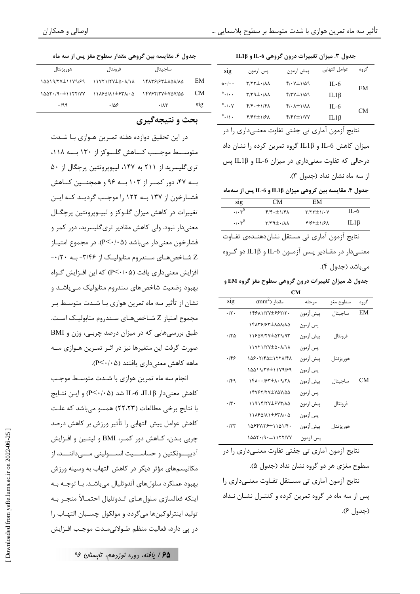جدول ٣. میزان تغییرات درون گروهی IL-6 و IL1β

| sig                           | پس آزمون                                    | ييش آزمون                               | عوامل التهابي | گروه      |  |
|-------------------------------|---------------------------------------------|-----------------------------------------|---------------|-----------|--|
| $* \cdot \cdot \cdot$         | $\uparrow$ /٢٣ $\pm$ $\cdot$ / $\uparrow$ / | $f/\cdot V \pm 1/\Delta$ 9              | IL-6          | EМ        |  |
| $^*$ . $\cdots$               | $N/N+1/N$                                   | $f$ /۳۷ $\pm$ ۱/۵۹                      | IL1 $\beta$   |           |  |
| $^*$ $\cdot$ / $\cdot$ $\vee$ | $f/f \cdot \pm 1/f$                         | $f/\cdot \lambda \pm 1/\lambda \lambda$ | IL-6          | <b>CM</b> |  |
| $^* \cdot / \cdot$            | $f/57 \pm 1/5$                              | $f/fY\pm1/YY$                           | IL1 $\beta$   |           |  |

نتايج آزمون آماري تي جفتي تفاوت معنـيداري را در میزان کاهش IL-6 و IL1β گروه تمرین کرده را نشان داد درحالي كه تفاوت معنىداري در ميزان IL-6 و IL1β پس از سه ماه نشان نداد (جدول ٣).

جدول ۴. مقایسه بین گروهی میزان IL1β و IL-6 پس از سهماه

| SIQ                                            | CМ                                                     | EM                   |            |
|------------------------------------------------|--------------------------------------------------------|----------------------|------------|
| $\cdot$ / $\cdot$ $\cdot$ $\cdot$ <sup>8</sup> | $f/f \cdot \pm 1/f \Lambda$                            | $Y/YY \pm 1/\cdot Y$ | II -6      |
| .1.58                                          | $\uparrow$ / $\uparrow$ ۹ $\pm$ $\cdot$ / $\uparrow$ Λ | $f/57\pm1/5\Lambda$  | $IL1\beta$ |

نتايج آزمون آماري تي مستقل نشاندهنـدەي تفـاوت معنے دار در مقـادیر پـس آزمـون IL-6 و IL1β دو گـروه مے باشد (جدول ۴).

جدول ۵. میزان تغییرات درون گروهی سطوح مغز گروه EM و

| €M                 |                                                                                                                        |           |            |      |  |  |
|--------------------|------------------------------------------------------------------------------------------------------------------------|-----------|------------|------|--|--|
| <b>S1g</b>         | $\text{mm}^2$ ) مقدار                                                                                                  | مر حله    | سطوح مغز   | گروه |  |  |
| $\cdot$ /٢ $\cdot$ | 14681174±66717.                                                                                                        | پيش أزمون | ساجيتال    | EM   |  |  |
|                    | 14859165±858185                                                                                                        | يس آزمون  |            |      |  |  |
| ۱۲۵                | 11657777±589.98                                                                                                        | پيش آزمون | فرونتال    |      |  |  |
|                    | 11YY1/YY±4. 1/11                                                                                                       | يس آزمون  |            |      |  |  |
| ۱۴۶                | 158.7/45±1778/48                                                                                                       | ييش ازمون | هور يزنتال |      |  |  |
|                    | 14419/77±1179/69                                                                                                       | يس آزمون  |            |      |  |  |
| ۰۱۴۹               | $\frac{15}{150}$ $\frac{15}{150}$ $\frac{15}{150}$ $\frac{15}{150}$ $\frac{15}{150}$ $\frac{15}{150}$ $\frac{15}{150}$ | ييش آزمون | ساجيتال    | CМ   |  |  |
|                    | 16767/77±757/55                                                                                                        | يس آزمون  |            |      |  |  |
| $\cdot \pi$ .      | 11914/77±۶7۳/84                                                                                                        | پيش آزمون | فرونتال    |      |  |  |
|                    | 11884/81±8381.4                                                                                                        | يس آزمون  |            |      |  |  |
| .75                | 14647/36±1141/4.                                                                                                       | ييش آزمون | هور يزنتال |      |  |  |
|                    | $1007 \cdot 9 \cdot 117777$                                                                                            | یس آزمون  |            |      |  |  |

نتايج آزمون آماري تي جفتي تفاوت معنـي‹اري را در سطوح مغزی هر دو گروه نشان نداد (جدول ۵). نتايج آزمون آماري تي مسـتقل تفـاوت معنـي‹اري را پس از سه ماه در گروه تمرین کرده و کنتـرل نشـان نـداد (جدول ۶).

جدول ۶. مقايسه بين گروهي مقدار سطوح مغز پس از سه ماه

| هور پزنتال       | فرونتال                                               | ساجيتال              |            |
|------------------|-------------------------------------------------------|----------------------|------------|
| 14419/77±1179/69 | \\YY\/YY±4.^^\\\                                      | 14178/87±101/10      | EM         |
| ۱۵۵۲۰/۹۰±۱۱۲۲/۷۷ | $11A5\Delta/\Lambda$ $\pm$ $57\Lambda/\cdot$ $\Delta$ | 14787/77±707/00      | CМ         |
| .199             | ۱۵۶.                                                  | $\cdot$ / $\wedge$ ۳ | <b>SIg</b> |

#### بحث و نتيجهگيري

در این تحقیق دوازده هفته تمـرین هـوازی بـا شـدت متوسيط موجب كباهش كليوكز از ١٣٠ بيه ١١٨، تری گلیسرید از ۲۱۱ به ۱۴۷، لیپویروتئین پرچگال از ۵۰ به ۴۷، دور کمـر از ۱۰۳ بـه ۹۶ و همچنــین کـاهش فشــارخون از ۱۳۷ بــه ۱۲۲ را موجــب گردیــد کــه ایــن تغییرات در کاهش میزان گلـوکز و لیپـوپروتئین پرچگـال معنے دار نبود. ولی کاهش مقادیر تری گلیسرید، دور کمر و فشارخون معنی دار می باشد (P<۰/۰۵). در مجموع امتیــاز Z شـاخصهـای سـندروم متابولیـک از ٣/۴۶- بـه ٠/٢٠-افزایش معنیداری یافت (P<٠/٠۵) که این افـزایش گـواه بهبود وضعیت شاخصهای سندروم متابولیک مےباشـد و نشان از تأثیر سه ماه تمرین هوازی بـا شــدت متوسـط بـر مجموع امتیاز Z شـاخصهـای سـندروم متابولیـک اسـت. طبق بررسی هایی که در میزان درصد چربـی، وزن و BMI صورت گرفت این متغیرها نیز در اثـر تمـرین هـوازی سـه ماهه کاهش معنی داری یافتند (P<۰/۰۵).

انجام سه ماه تمرین هوازی با شـدت متوسـط موجـب كاهش معنى دار IL-6 ،IL1β شد (Ρ<۰/۰۵) و ايـن نتـايج با نتايج برخي مطالعات (٢٢،٢٣) همسو مي باشد كه علت كاهش عوامل پيش التهابي را تأثير ورزش بر كاهش درصد چربی بـدن، کـاهش دور کمـر، BMI و لیتـین و افـزایش آدیپـــونکتین و حساســـیت انســـولینی مـــیداننـــد، از مکانیسمهای مؤثر دیگر در کاهش التهاب به وسیله ورزش بهبود عملکرد سلولهای آندوتليال میباشـد. بـا توجـه بـه اينكه فعالسازي سلول هـاي انـدوتليال احتمـالاً منجـر بـه توليد اينترلوكين ها مي گردد و مولكول چسـبان التهـاب را در پي دارد، فعاليت منظم طــولاني,مــدت موجـب افــزايش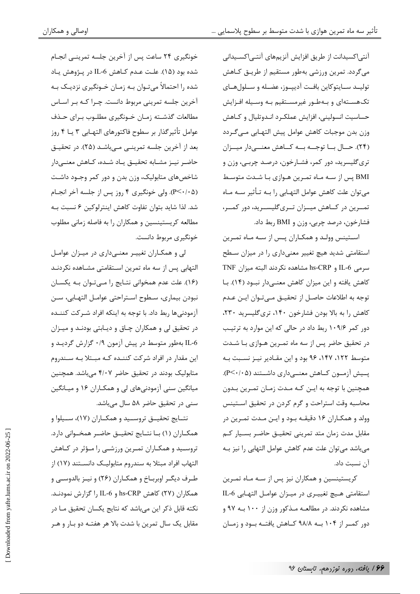آنتی|کسیدانت از طریق افزایش آنزیمهای آنتـی|کســیدانی میگردد. تمرین ورزشی بهطور مستقیم از طریـق کـاهش توليــد ســايتوكاين بافــت آدييــوز، عضــله و ســلولهــاي تکهستهای و بهطور غیرمستقیم بـه وسـیله افـزایش حساسيت انسوليني، افزايش عملكرد انـدوتليال و كـاهش وزن بدن موجبات كاهش عوامل پيش التهـابي مـي٤كـردد (٢۴). حـال بـا توجـه بـه كـاهش معنــىدار ميـزان تري گليسريد، دور كمر، فشـارخون، درصـد چربـي، وزن و BMI پس از سـه مـاه تمـرين هـوازي بـا شـدت متوسـط می توان علت کاهش عوامل التهـابی را بــه تـأثير ســه مــاه تمــرین در کــاهش میــزان تــری5للیســرید، دور کمــر، فشارخون، درصد چربي، وزن و BMI ربط داد.

استینس وولـد و همکـاران پـس از سـه مـاه تمـرین استقامتی شدید هیچ تغییر معنیداری را در میزان سطح سرمی IL-6 و hs-CRP مشاهده نکردند البته میزان TNF کاهش یافته و این میزان کاهش معنے دار نبود (۱۴). بـا توجه به اطلاعات حاصل از تحقیـق مـیتـوان ایـن عـدم کاهش را به بالا بودن فشارخون ۱۴۰، تری گلیسرید ۲۳۰، دور کمر ۱۰۹/۶ ربط داد در حالی که این موارد به ترتیب در تحقیق حاضر پس از سه ماه تمـرین هـوازی بـا شـدت متوسط ١٢٢، ١۴٧، ٩۶ بود و اين مقـادير نيـز نسـبت بـه پمیش آزمون کماهش معنمیداری داشتند (P<۰/۰۵). همچنین با توجه به ایـن کـه مـدت زمـان تمـرین بـدون محاسبه وقت استراحت و گرم کردن در تحقیق استینس وولد و همكـاران ١۶ دقيقـه بـود و ايـن مـدت تمـرين در مقابل مدت زمان متد تمريني تحقيـق حاضـر بسـيار كـم میباشد میتوان علت عدم كاهش عوامل التهابی را نیز بـه آن نسبت داد.

کریستینسین و همکاران نیز پس از سـه مـاه تمـرین استقامتي هيچ تغييـري در ميـزان عوامـل التهـابي IL-6 مشاهده نکردند. در مطالعــه مــذکور وزن از ۱۰۰ بــه ۹۷ و دور کمـر از ۱۰۴ بـه ۹۸/۸ کـاهش یافتـه بـود و زمـان

خونگیری ۲۴ ساعت پس از آخرین جلسه تمرینـی انجـام شده بود (۱۵). علت عـدم كـاهش IL-6 در پـژوهش يـاد شده را احتمالاً میتوان بـه زمـان خـونگیری نزدیـک بـه آخرین جلسه تمرینی مربوط دانست. چـرا کـه بـر اسـاس مطالعات گذشـته زمـان خـونگيري مطلـوب بـراي حـذف عوامل تأثير گذار بر سطوح فاكتورهاى التهـابي ٣ يــا ۴ روز بعد از آخرین جلسه تمرینـی مـیباشـد (۲۵). در تحقیـق حاضر نيـز مشـابه تحقيـق يـاد شـده، كـاهش معنـىدار شاخصهای متابولیک، وزن بدن و دور کمر وجـود داشـت (P<۰/۰۵). ولي خونگيري ۴ روز پس از جلسه آخر انجـام شد. لذا شاید بتوان تفاوت کاهش اینترلوکین ۶ نسبت بـه مطالعه کریستینسین و همکاران را به فاصله زمانی مطلوب خونگیری مربوط دانست.

لی و همکـاران تغییـر معنـی۱داری در میـزان عوامـل التهابی پس از سه ماه تمرین اسـتقامتی مشـاهده نکردنـد (١۶). علت عدم همخوانی نتـایج را مـی تـوان بـه یکسـان نبودن بيماري، سطوح استراحتي عوامـل التهـابي، سـن آزمودنی ها ربط داد. با توجه به اینکه افراد شـرکت کننــده در تحقیق لی و همکاران چـاق و دیـابتی بودنـد و میـزان IL-6 بهطور متوسط در پیش آزمون ۰/۹ گزارش گردیـد و این مقدار در افراد شرکت کننـده کـه مبـتلا بـه سـندروم متابولیک بودند در تحقیق حاضر ۴/۰۷ میباشد. همچنین میانگین سنی آزمودنیهای لی و همکـاران ۱۶ و میـانگین سنی در تحقیق حاضر ۵۸ سال میباشد.

نتــايج تحقيــق تروســيد و همكــاران (١٧)، ســيلوا و همكـاران (١) بــا نتــايج تحقيــق حاضــر همخــواني دارد. تروسید و همکـاران تمـرین ورزشـی را مـؤثر در کـاهش التهاب افراد مبتلا به سندروم متابولیـک دانسـتند (١٧) از طـرف دیگـر اوبربـاخ و همکـاران (۲۶) و نیـز بالدوسـبی و همكاران (٢٧) كاهش hs-CRP و IL-6 را گزارش نمودنـد. نکته قابل ذکر این میباشد که نتایج یکسان تحقیق مـا در مقابل یک سال تمرین با شدت بالا هر هفتـه دو بـار و هـر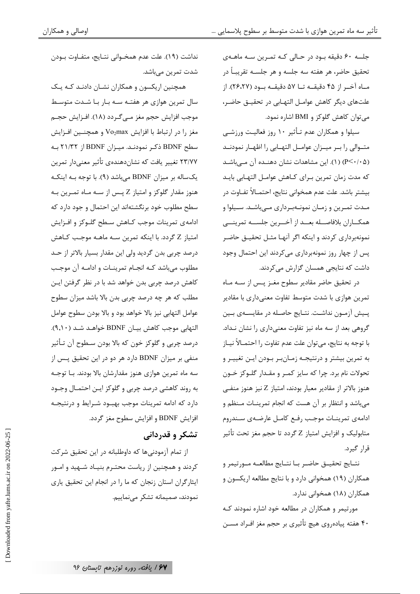جلسه ۶۰ دقیقه بود در حـالی کـه تمـرین سـه ماهـهی تحقيق حاضر، هر هفته سه جلسه و هر جلسـه تقريبـاً در مـاه آخـر از ۴۵ دقیقـه تـا ۵۷ دقیقـه بـود (۲۶،۲۷). از علتهای دیگر کاهش عوامـل التهـابی در تحقیـق حاضـر، می توان کاهش گلوکز و BMI اشاره نمود.

سیلوا و همکاران عدم تـأثیر ۱۰ روز فعالیـت ورزشـی متـوالى را بـر ميـزان عوامـل التهـابي را اظهـار نمودنـد (۵/ ۲/ ۲۰) (۱). این مشاهدات نشان دهنده آن مےباشد كه مدت زمان تمرين بـراي كـاهش عوامـل التهـابي بايـد بيشتر باشد. علت عدم همخواني نتايج، احتمــالاً تفــاوت در مـدت تمـرین و زمـان نمونــهبـرداری مــیباشـد. ســیلوا و همكـــاران بلافاصـــله بعـــد از آخـــرين جلســـه تمرينــــى نمونهبرداری کردند و اینکه اگر آنهـا مثـل تحقیـق حاضـر پس از چهار روز نمونهبرداری میکردند این احتمال وجود داشت که نتایجی همسان گزارش می کردند.

در تحقیق حاضر مقادیر سطوح مغـز پـس از سـه مـاه تمرین هوازی با شدت متوسط تفاوت معنیداری با مقادیر يـيش آزمـون نداشـت. نتـايج حاصـله در مقايسـهي بـين گروهی بعد از سه ماه نیز تفاوت معنیداری را نشان نـداد. با توجه به نتايج، ميتوان علت عدم تفاوت را احتمــالاً نيــاز به تمرين بيشتر و درنتيجـه زمـانبـر بـودن ايـن تغييـر و تحولات نام برد. چرا که سایز کمـر و مقـدار گلـوکز خـون هنوز بالاتر از مقادیر معیار بودند، امتیاز Z نیز هنوز منفـی میباشد و انتظار بر آن هست که انجام تمرینـات مـنظم و ادامهى تمرينـات موجـب رفـع كامـل عارضـهى سـندروم متابولیک و افزایش امتیاز Z گردد تا حجم مغز تحت تأثیر قرار گیرد.

نتــايج تحقيــق حاضــر بــا نتــايج مطالعــه مــورتيمر و همکاران (۱۹) همخوانی دارد و با نتایج مطالعه اریکسون و همکاران (۱۸) همخوانی ندارد.

مورتیمر و همکاران در مطالعه خود اشاره نمودند کـه ۴۰ هفته پیادهروی هیچ تأثیری بر حجم مغز افـراد مسـن

نداشت (١٩). علت عدم همخـواني نتـايج، متفـاوت بـودن شدت تمرين ميباشد.

همچنین اریکسون و همکاران نشـان دادنـد کـه یـک سال تمرین هوازی هر هفتـه سـه بـار بـا شـدت متوسـط موجب افزایش حجم مغز مـیگـردد (۱۸). افـزایش حجـم مغز را در ارتباط با افزایش Vo2max و همچنین افزایش سطح BDNF ذكر نمودنـد. ميـزان BDNF از ٢١/٣٢ بـه ٢٣/٧٧ تغيير يافت كه نشاندهندهي تأثير معنىدار تمرين یکساله بر میزان BDNF میباشد (۹). با توجه به اینکه هنوز مقدار گلوکز و امتیاز Z پـس از سـه مـاه تمـرین بـه سطح مطلوب خود برنگشتهاند این احتمال و جود دارد که ادامهی تمرینات موجب کـاهش سـطح گلـوکز و افـزایش امتياز Z گردد. با اينكه تمرين سـه ماهـه موجـب كـاهش درصد چربی بدن گردید ولی این مقدار بسیار بالاتر از حـد مطلوب می باشد کـه انجـام تمرینـات و ادامـه آن موجـب كاهش درصد چربی بدن خواهد شد با در نظر گرفتن ایـن مطلب که هر چه درصد چربی بدن بالا باشد میزان سطوح عوامل التهابي نيز بالا خواهد بود و بالا بودن سطوح عوامل التهابي موجب كاهش بيـان BDNF خواهـد شـد (٩,١٠). درصد چربی و گلوکز خون که بالا بودن سـطوح آن تـأثير منفی بر میزان BDNF دارد هر دو در این تحقیق پس از سه ماه تمرین هوازی هنوز مقدارشان بالا بودند. بـا توجـه به روند کاهشی درصد چربی و گلوکز ایـن احتمـال وجـود دارد که ادامه تمرینات موجب بهبود شـرایط و درنتیجـه افزايش BDNF و افزايش سطوح مغز گردد.

## تشکر و قدردانی

از تمام آزمودنی ها که داوطلبانه در این تحقیق شرکت کردند و همچنین از ریاست محتـرم بنیـاد شــهید و امــور ایثارگران استان زنجان که ما را در انجام این تحقیق پاری نمودند، صمیمانه تشکر می نماییم.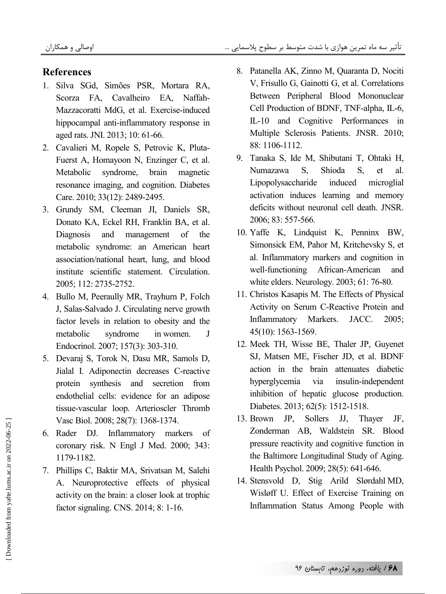## **References**

- 1. Silva SGd, Simões PSR, Mortara RA, Scorza FA, Cavalheiro EA, Naffah-Mazzacoratti MdG, et al. Exercise-induced hippocampal anti-inflammatory response in aged rats. JNI. 2013; 10: 61-66.
- 2. Cavalieri M, Ropele S, Petrovic K, Pluta-Fuerst A, Homayoon N, Enzinger C, et al. Metabolic syndrome, brain magnetic resonance imaging, and cognition. Diabetes Care. 2010; 33(12): 2489-2495.
- 3. Grundy SM, Cleeman JI, Daniels SR, Donato KA, Eckel RH, Franklin BA, et al. Diagnosis and management of the metabolic syndrome: an American heart association/national heart, lung, and blood institute scientific statement. Circulation. 2005; 112: 2735-2752.
- 4. Bullo M, Peeraully MR, Trayhurn P, Folch J, Salas-Salvado J. Circulating nerve growth factor levels in relation to obesity and the metabolic syndrome in women. J Endocrinol. 2007; 157(3): 303-310.
- 5. Devaraj S, Torok N, Dasu MR, Samols D, Jialal I. Adiponectin decreases C-reactive protein synthesis and secretion from endothelial cells: evidence for an adipose tissue-vascular loop. Arterioscler Thromb Vasc Biol. 2008; 28(7): 1368-1374.
- 6. Rader DJ. Inflammatory markers of coronary risk. N Engl J Med. 2000; 343: 1179-1182.
- 7. Phillips C, Baktir MA, Srivatsan M, Salehi A. Neuroprotective effects of physical activity on the brain: a closer look at trophic factor signaling. CNS. 2014; 8: 1-16.
- 8. Patanella AK, Zinno M, Quaranta D, Nociti V, Frisullo G, Gainotti G, et al. Correlations Between Peripheral Blood Mononuclear Cell Production of BDNF, TNF-alpha, IL-6, IL-10 and Cognitive Performances in Multiple Sclerosis Patients. JNSR. 2010; 88: 1106-1112.
- 9. Tanaka S, Ide M, Shibutani T, Ohtaki H, Numazawa S, Shioda S, et al. Lipopolysaccharide induced microglial activation induces learning and memory deficits without neuronal cell death. JNSR. 2006; 83: 557-566.
- 10. Yaffe K, Lindquist K, Penninx BW, Simonsick EM, Pahor M, Kritchevsky S, et al. Inflammatory markers and cognition in well-functioning African-American and white elders. Neurology. 2003; 61: 76-80.
- 11. Christos Kasapis M. The Effects of Physical Activity on Serum C-Reactive Protein and Inflammatory Markers. JACC. 2005; 45(10): 1563-1569.
- 12. Meek TH, Wisse BE, Thaler JP, Guyenet SJ, Matsen ME, Fischer JD, et al. BDNF action in the brain attenuates diabetic hyperglycemia via insulin-independent inhibition of hepatic glucose production. Diabetes. 2013; 62(5): 1512-1518.
- 13. Brown JP, Sollers JJ, Thayer JF, Zonderman AB, Waldstein SR. Blood pressure reactivity and cognitive function in the Baltimore Longitudinal Study of Aging. Health Psychol. 2009; 28(5): 641-646.
- 14. Stensvold D, Stig Arild Slørdahl MD, Wisløff U. Effect of Exercise Training on Inflammation Status Among People with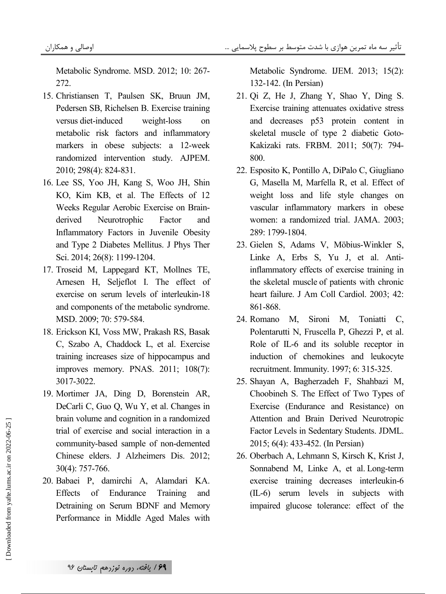Metabolic Syndrome. MSD. 2012; 10: 267- 272.

- 15. Christiansen T, Paulsen SK, Bruun JM, Pedersen SB, Richelsen B. Exercise training versus diet-induced weight-loss on metabolic risk factors and inflammatory markers in obese subjects: a 12-week randomized intervention study. AJPEM. 2010; 298(4): 824-831.
- 16. Lee SS, Yoo JH, Kang S, Woo JH, Shin KO, Kim KB, et al. The Effects of 12 Weeks Regular Aerobic Exercise on Brainderived Neurotrophic Factor and Inflammatory Factors in Juvenile Obesity and Type 2 Diabetes Mellitus. J Phys Ther Sci. 2014; 26(8): 1199-1204.
- 17. Troseid M, Lappegard KT, Mollnes TE, Arnesen H, Seljeflot I. The effect of exercise on serum levels of interleukin-18 and components of the metabolic syndrome. MSD. 2009; 70: 579-584.
- 18. Erickson KI, Voss MW, Prakash RS, Basak C, Szabo A, Chaddock L, et al. Exercise training increases size of hippocampus and improves memory. PNAS. 2011; 108(7): 3017-3022.
- 19. Mortimer JA, Ding D, Borenstein AR, DeCarli C, Guo Q, Wu Y, et al. Changes in brain volume and cognition in a randomized trial of exercise and social interaction in a community-based sample of non-demented Chinese elders. J Alzheimers Dis. 2012; 30(4): 757-766.
- 20. Babaei P, damirchi A, Alamdari KA. Effects of Endurance Training and Detraining on Serum BDNF and Memory Performance in Middle Aged Males with

Metabolic Syndrome. IJEM. 2013; 15(2): 132-142. (In Persian)

- 21. Qi Z, He J, Zhang Y, Shao Y, Ding S. Exercise training attenuates oxidative stress and decreases p53 protein content in skeletal muscle of type 2 diabetic Goto-Kakizaki rats. FRBM. 2011; 50(7): 794- 800.
- 22. Esposito K, Pontillo A, DiPalo C, Giugliano G, Masella M, Marfella R, et al. Effect of weight loss and life style changes on vascular inflammatory markers in obese women: a randomized trial. JAMA. 2003; 289: 1799-1804.
- 23. Gielen S, Adams V, Möbius-Winkler S, Linke A, Erbs S, Yu J, et al. Antiinflammatory effects of exercise training in the skeletal muscle of patients with chronic heart failure. J Am Coll Cardiol. 2003; 42: 861-868.
- 24. Romano M, Sironi M, Toniatti C, Polentarutti N, Fruscella P, Ghezzi P, et al. Role of IL-6 and its soluble receptor in induction of chemokines and leukocyte recruitment. Immunity. 1997; 6: 315-325.
- 25. Shayan A, Bagherzadeh F, Shahbazi M, Choobineh S. The Effect of Two Types of Exercise (Endurance and Resistance) on Attention and Brain Derived Neurotropic Factor Levels in Sedentary Students. JDML. 2015; 6(4): 433-452. (In Persian)
- 26. Oberbach A, Lehmann S, Kirsch K, Krist J, Sonnabend M, Linke A, et al. Long-term exercise training decreases interleukin-6 (IL-6) serum levels in subjects with impaired glucose tolerance: effect of the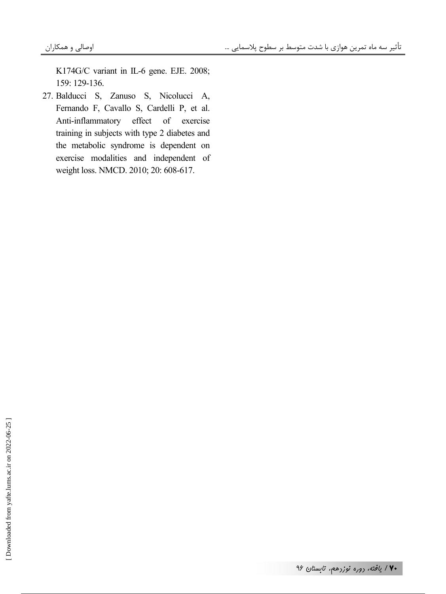K174G/C variant in IL-6 gene. EJE. 2008; 159: 129-136.

27. Balducci S, Zanuso S, Nicolucci A, Fernando F, Cavallo S, Cardelli P, et al. Anti-inflammatory effect of exercise training in subjects with type 2 diabetes and the metabolic syndrome is dependent on exercise modalities and independent of weight loss. NMCD. 2010; 20: 608-617.